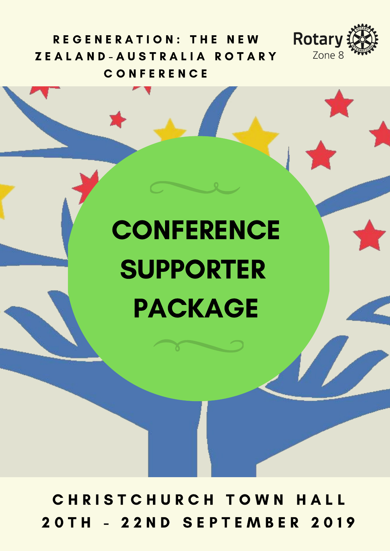

REGENERATION: THE NEW ZEALAND-AUSTRALIA ROTARY C O N F E R E N C E

# **CONFERENCE** SUPPORTER PACKAGE

CHRISTCHURCH TOWN HALL 2 0 T H - 2 2 N D S E P T E M B E R 2 0 1 9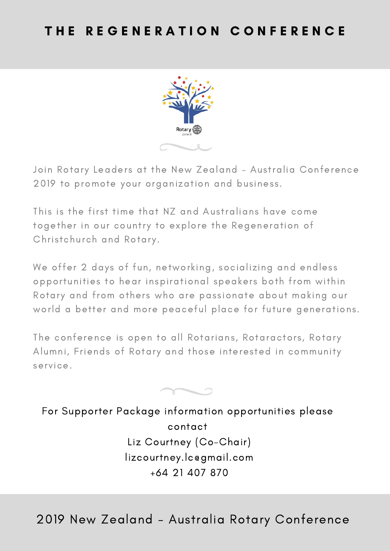

Join Rotary Leaders at the New Zealand – Australia Conference 2019 to promote your organization and business.

This is the first time that NZ and Australians have come together in our country to explore the Regeneration of Christchurch and Rotary.

We offer 2 days of fun, networking, socializing and endless opportunities to hear inspirational speakers both from within Rotary and from others who are passionate about making our world a better and more peaceful place for future generations.

The conference is open to all Rotarians, Rotaractors, Rotary Alumni, Friends of Rotary and those interested in community service.



For Supporter Package information opportunities please contact Liz Courtney (Co-Chair) lizcourtney.lc@gmail.com +64 21 407 870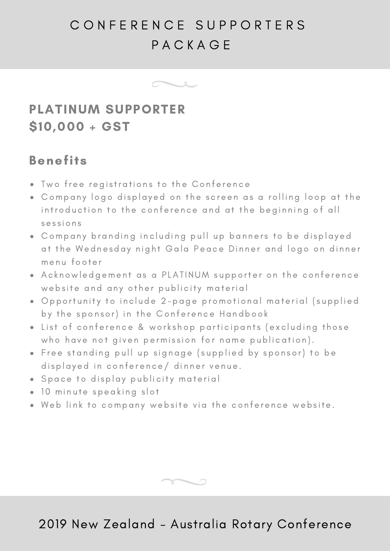# C O N F E R E N C E S U P P O R T E R S **PACKAGE**



## PLATINUM SUPPORTER \$10,000 + GST

### Benefits

- Two free registrations to the Conference
- Company logo displayed on the screen as a rolling loop at the introduction to the conference and at the beginning of all sessions
- Company branding including pull up banners to be displayed at the Wednesday night Gala Peace Dinner and logo on dinner menu footer
- Acknowledgement as a PLATINUM supporter on the conference website and any other publicity material
- Opportunity to include 2-page promotional material (supplied by the sponsor) in the Conference Handbook
- List of conference & workshop participants (excluding those who have not given permission for name publication).
- . Free standing pull up signage (supplied by sponsor) to be displayed in conference/ dinner venue.
- Space to display publicity material
- 10 minute speaking slot
- . Web link to company website via the conference website.

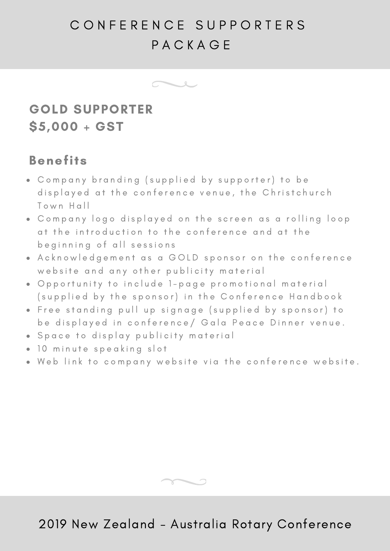# C O N F E R E N C E S U P P O R T E R S **PACKAGE**



## GOLD SUPPORTER \$5,000 + GST

#### Benefits

- Company branding (supplied by supporter) to be displayed at the conference venue, the Christchurch Town Hall
- Company logo displayed on the screen as a rolling loop at the introduction to the conference and at the beginning of all sessions
- . A cknowledgement as a GOLD sponsor on the conference website and any other publicity material
- . Opportunity to include 1-page promotional material (supplied by the sponsor) in the Conference Handbook
- . Free standing pull up signage (supplied by sponsor) to be displayed in conference/ Gala Peace Dinner venue.
- · Space to display publicity material
- 10 minute speaking slot
- . Web link to company website via the conference website.

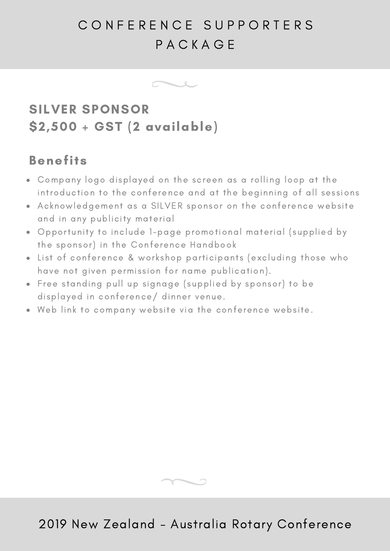# C O N F E R E N C E S U P P O R T E R S P A C K A G E



## SILVER SPONSOR \$2,500 + GST (2 available)

### Benefits

- Company logo displayed on the screen as a rolling loop at the introduction to the conference and at the beginning of all sessions
- Acknowledgement as a SILVER sponsor on the conference website and in any publicity material
- Opportunity to include 1-page promotional material (supplied by the sponsor) in the Conference Handbook
- List of conference & workshop participants (excluding those who have not given permission for name publication).
- Free standing pull up signage (supplied by sponsor) to be displayed in conference/ dinner venue.
- Web link to company website via the conference website.

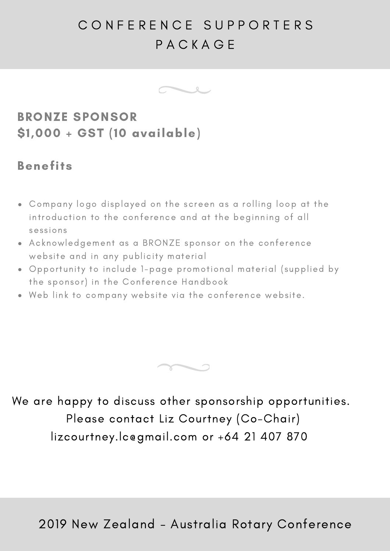# C O N F E R E N C E S U P P O R T E R S P A C K A G E



## BRONZE SPONSOR \$1,000 + GST (10 available)

#### Benefits

- Company logo displayed on the screen as a rolling loop at the introduction to the conference and at the beginning of all sessions
- Acknowledgement as a BRONZE sponsor on the conference website and in any publicity material
- Opportunity to include 1-page promotional material (supplied by the sponsor) in the Conference Handbook
- Web link to company website via the conference website.



We are happy to discuss other sponsorship opportunities. Please contact Liz Courtney (Co-Chair) lizcourtney.lc@gmail.com or +64 21 407 870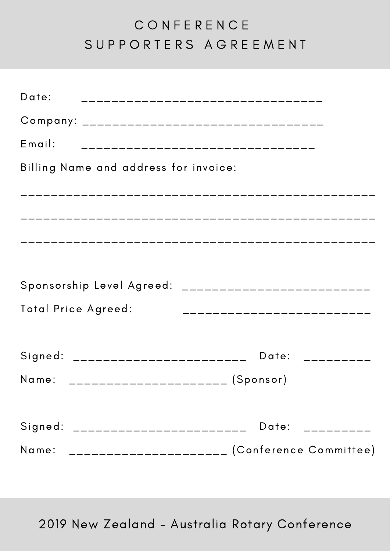# C O N F E R E N C E S U P P O R T E R S A G R E E M E N T

| Date:<br>_____________________________________        |                               |
|-------------------------------------------------------|-------------------------------|
|                                                       |                               |
| Email:<br>___________________________________         |                               |
| Billing Name and address for invoice:                 |                               |
|                                                       |                               |
|                                                       |                               |
|                                                       |                               |
|                                                       |                               |
| Sponsorship Level Agreed: ___________________________ |                               |
| Total Price Agreed:                                   | ____________________________  |
|                                                       |                               |
| Signed: _________________________                     | Date: $\frac{1}{2}$           |
| Name:<br>-———————————————————— (Sponsor)              |                               |
|                                                       |                               |
| Signed: _______________________                       | Date: $\frac{1}{2}$ _________ |
| Name: ______________________ (Conference Committee)   |                               |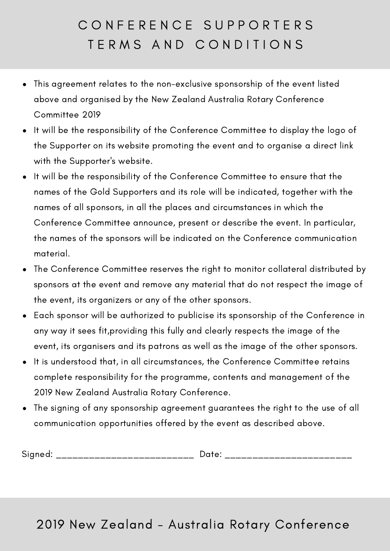# C O N F E R E N C E S U P P O R T E R S TERMS AND CONDITIONS

- This agreement relates to the non-exclusive sponsorship of the event listed  $\bullet$ above and organised by the New Zealand Australia Rotary Conference Committee 2019
- It will be the responsibility of the Conference Committee to display the logo of the Supporter on its website promoting the event and to organise a direct link with the Supporter's website.
- It will be the responsibility of the Conference Committee to ensure that the names of the Gold Supporters and its role will be indicated, together with the names of all sponsors, in all the places and circumstances in which the Conference Committee announce, present or describe the event. In particular, the names of the sponsors will be indicated on the Conference communication material.
- The Conference Committee reserves the right to monitor collateral distributed by sponsors at the event and remove any material that do not respect the image of the event, its organizers or any of the other sponsors.
- Each sponsor will be authorized to publicise its sponsorship of the Conference in any way it sees fit,providing this fully and clearly respects the image of the event, its organisers and its patrons as well as the image of the other sponsors.
- It is understood that, in all circumstances, the Conference Committee retains complete responsibility for the programme, contents and management of the 2019 New Zealand Australia Rotary Conference.
- The signing of any sponsorship agreement guarantees the right to the use of all  $\bullet$ communication opportunities offered by the event as described above.

Signed: \_\_\_\_\_\_\_\_\_\_\_\_\_\_\_\_\_\_\_\_\_\_\_\_\_ Date: \_\_\_\_\_\_\_\_\_\_\_\_\_\_\_\_\_\_\_\_\_\_\_